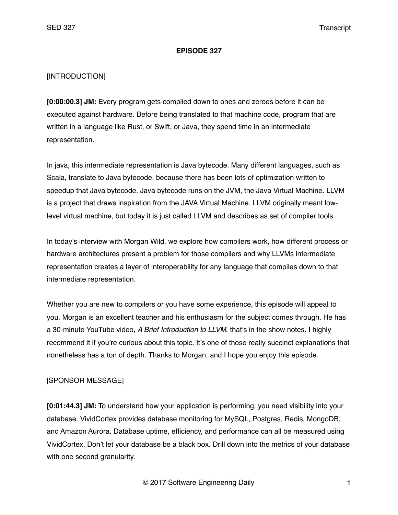#### **EPISODE 327**

### [INTRODUCTION]

**[0:00:00.3] JM:** Every program gets complied down to ones and zeroes before it can be executed against hardware. Before being translated to that machine code, program that are written in a language like Rust, or Swift, or Java, they spend time in an intermediate representation.

In java, this intermediate representation is Java bytecode. Many different languages, such as Scala, translate to Java bytecode, because there has been lots of optimization written to speedup that Java bytecode. Java bytecode runs on the JVM, the Java Virtual Machine. LLVM is a project that draws inspiration from the JAVA Virtual Machine. LLVM originally meant lowlevel virtual machine, but today it is just called LLVM and describes as set of compiler tools.

In today's interview with Morgan Wild, we explore how compilers work, how different process or hardware architectures present a problem for those compilers and why LLVMs intermediate representation creates a layer of interoperability for any language that compiles down to that intermediate representation.

Whether you are new to compilers or you have some experience, this episode will appeal to you. Morgan is an excellent teacher and his enthusiasm for the subject comes through. He has a 30-minute YouTube video, *A Brief Introduction to LLVM*, that's in the show notes. I highly recommend it if you're curious about this topic. It's one of those really succinct explanations that nonetheless has a ton of depth. Thanks to Morgan, and I hope you enjoy this episode.

### [SPONSOR MESSAGE]

**[0:01:44.3] JM:** To understand how your application is performing, you need visibility into your database. VividCortex provides database monitoring for MySQL, Postgres, Redis, MongoDB, and Amazon Aurora. Database uptime, efficiency, and performance can all be measured using VividCortex. Don't let your database be a black box. Drill down into the metrics of your database with one second granularity.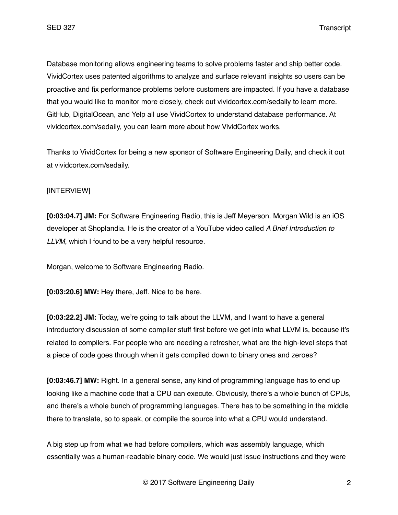Database monitoring allows engineering teams to solve problems faster and ship better code. VividCortex uses patented algorithms to analyze and surface relevant insights so users can be proactive and fix performance problems before customers are impacted. If you have a database that you would like to monitor more closely, check out vividcortex.com/sedaily to learn more. GitHub, DigitalOcean, and Yelp all use VividCortex to understand database performance. At vividcortex.com/sedaily, you can learn more about how VividCortex works.

Thanks to VividCortex for being a new sponsor of Software Engineering Daily, and check it out at vividcortex.com/sedaily.

# [INTERVIEW]

**[0:03:04.7] JM:** For Software Engineering Radio, this is Jeff Meyerson. Morgan Wild is an iOS developer at Shoplandia. He is the creator of a YouTube video called *A Brief Introduction to LLVM*, which I found to be a very helpful resource.

Morgan, welcome to Software Engineering Radio.

**[0:03:20.6] MW:** Hey there, Jeff. Nice to be here.

**[0:03:22.2] JM:** Today, we're going to talk about the LLVM, and I want to have a general introductory discussion of some compiler stuff first before we get into what LLVM is, because it's related to compilers. For people who are needing a refresher, what are the high-level steps that a piece of code goes through when it gets compiled down to binary ones and zeroes?

**[0:03:46.7] MW:** Right. In a general sense, any kind of programming language has to end up looking like a machine code that a CPU can execute. Obviously, there's a whole bunch of CPUs, and there's a whole bunch of programming languages. There has to be something in the middle there to translate, so to speak, or compile the source into what a CPU would understand.

A big step up from what we had before compilers, which was assembly language, which essentially was a human-readable binary code. We would just issue instructions and they were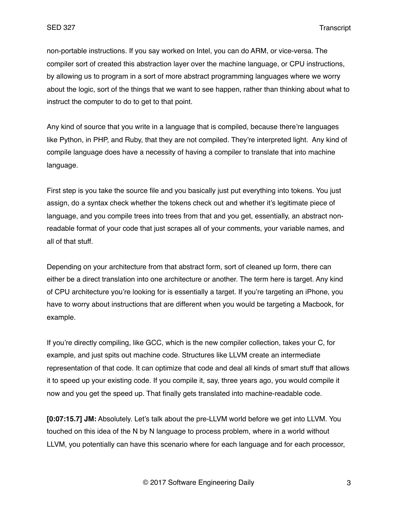non-portable instructions. If you say worked on Intel, you can do ARM, or vice-versa. The compiler sort of created this abstraction layer over the machine language, or CPU instructions, by allowing us to program in a sort of more abstract programming languages where we worry about the logic, sort of the things that we want to see happen, rather than thinking about what to instruct the computer to do to get to that point.

Any kind of source that you write in a language that is compiled, because there're languages like Python, in PHP, and Ruby, that they are not compiled. They're interpreted light. Any kind of compile language does have a necessity of having a compiler to translate that into machine language.

First step is you take the source file and you basically just put everything into tokens. You just assign, do a syntax check whether the tokens check out and whether it's legitimate piece of language, and you compile trees into trees from that and you get, essentially, an abstract nonreadable format of your code that just scrapes all of your comments, your variable names, and all of that stuff.

Depending on your architecture from that abstract form, sort of cleaned up form, there can either be a direct translation into one architecture or another. The term here is target. Any kind of CPU architecture you're looking for is essentially a target. If you're targeting an iPhone, you have to worry about instructions that are different when you would be targeting a Macbook, for example.

If you're directly compiling, like GCC, which is the new compiler collection, takes your C, for example, and just spits out machine code. Structures like LLVM create an intermediate representation of that code. It can optimize that code and deal all kinds of smart stuff that allows it to speed up your existing code. If you compile it, say, three years ago, you would compile it now and you get the speed up. That finally gets translated into machine-readable code.

**[0:07:15.7] JM:** Absolutely. Let's talk about the pre-LLVM world before we get into LLVM. You touched on this idea of the N by N language to process problem, where in a world without LLVM, you potentially can have this scenario where for each language and for each processor,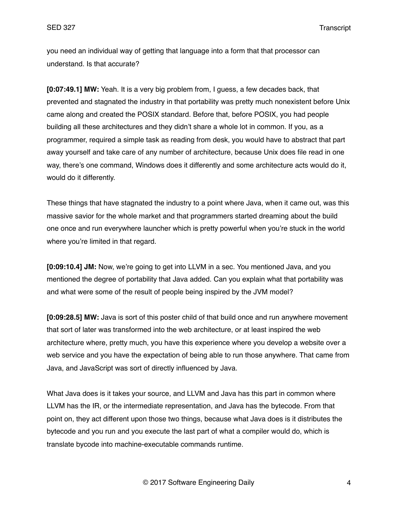you need an individual way of getting that language into a form that that processor can understand. Is that accurate?

**[0:07:49.1] MW:** Yeah. It is a very big problem from, I guess, a few decades back, that prevented and stagnated the industry in that portability was pretty much nonexistent before Unix came along and created the POSIX standard. Before that, before POSIX, you had people building all these architectures and they didn't share a whole lot in common. If you, as a programmer, required a simple task as reading from desk, you would have to abstract that part away yourself and take care of any number of architecture, because Unix does file read in one way, there's one command, Windows does it differently and some architecture acts would do it, would do it differently.

These things that have stagnated the industry to a point where Java, when it came out, was this massive savior for the whole market and that programmers started dreaming about the build one once and run everywhere launcher which is pretty powerful when you're stuck in the world where you're limited in that regard.

**[0:09:10.4] JM:** Now, we're going to get into LLVM in a sec. You mentioned Java, and you mentioned the degree of portability that Java added. Can you explain what that portability was and what were some of the result of people being inspired by the JVM model?

**[0:09:28.5] MW:** Java is sort of this poster child of that build once and run anywhere movement that sort of later was transformed into the web architecture, or at least inspired the web architecture where, pretty much, you have this experience where you develop a website over a web service and you have the expectation of being able to run those anywhere. That came from Java, and JavaScript was sort of directly influenced by Java.

What Java does is it takes your source, and LLVM and Java has this part in common where LLVM has the IR, or the intermediate representation, and Java has the bytecode. From that point on, they act different upon those two things, because what Java does is it distributes the bytecode and you run and you execute the last part of what a compiler would do, which is translate bycode into machine-executable commands runtime.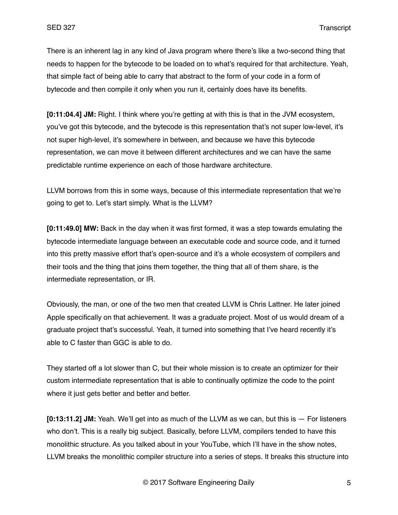There is an inherent lag in any kind of Java program where there's like a two-second thing that needs to happen for the bytecode to be loaded on to what's required for that architecture. Yeah, that simple fact of being able to carry that abstract to the form of your code in a form of bytecode and then compile it only when you run it, certainly does have its benefits.

**[0:11:04.4] JM:** Right. I think where you're getting at with this is that in the JVM ecosystem, you've got this bytecode, and the bytecode is this representation that's not super low-level, it's not super high-level, it's somewhere in between, and because we have this bytecode representation, we can move it between different architectures and we can have the same predictable runtime experience on each of those hardware architecture.

LLVM borrows from this in some ways, because of this intermediate representation that we're going to get to. Let's start simply. What is the LLVM?

**[0:11:49.0] MW:** Back in the day when it was first formed, it was a step towards emulating the bytecode intermediate language between an executable code and source code, and it turned into this pretty massive effort that's open-source and it's a whole ecosystem of compilers and their tools and the thing that joins them together, the thing that all of them share, is the intermediate representation, or IR.

Obviously, the man, or one of the two men that created LLVM is Chris Lattner. He later joined Apple specifically on that achievement. It was a graduate project. Most of us would dream of a graduate project that's successful. Yeah, it turned into something that I've heard recently it's able to C faster than GGC is able to do.

They started off a lot slower than C, but their whole mission is to create an optimizer for their custom intermediate representation that is able to continually optimize the code to the point where it just gets better and better and better.

**[0:13:11.2] JM:** Yeah. We'll get into as much of the LLVM as we can, but this is — For listeners who don't. This is a really big subject. Basically, before LLVM, compilers tended to have this monolithic structure. As you talked about in your YouTube, which I'll have in the show notes, LLVM breaks the monolithic compiler structure into a series of steps. It breaks this structure into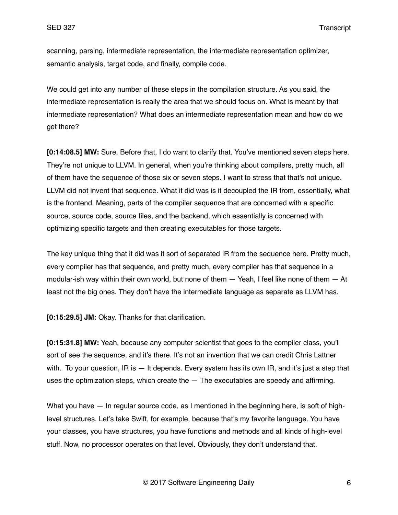scanning, parsing, intermediate representation, the intermediate representation optimizer, semantic analysis, target code, and finally, compile code.

We could get into any number of these steps in the compilation structure. As you said, the intermediate representation is really the area that we should focus on. What is meant by that intermediate representation? What does an intermediate representation mean and how do we get there?

**[0:14:08.5] MW:** Sure. Before that, I do want to clarify that. You've mentioned seven steps here. They're not unique to LLVM. In general, when you're thinking about compilers, pretty much, all of them have the sequence of those six or seven steps. I want to stress that that's not unique. LLVM did not invent that sequence. What it did was is it decoupled the IR from, essentially, what is the frontend. Meaning, parts of the compiler sequence that are concerned with a specific source, source code, source files, and the backend, which essentially is concerned with optimizing specific targets and then creating executables for those targets.

The key unique thing that it did was it sort of separated IR from the sequence here. Pretty much, every compiler has that sequence, and pretty much, every compiler has that sequence in a modular-ish way within their own world, but none of them — Yeah, I feel like none of them — At least not the big ones. They don't have the intermediate language as separate as LLVM has.

**[0:15:29.5] JM:** Okay. Thanks for that clarification.

**[0:15:31.8] MW:** Yeah, because any computer scientist that goes to the compiler class, you'll sort of see the sequence, and it's there. It's not an invention that we can credit Chris Lattner with. To your question, IR is  $-$  It depends. Every system has its own IR, and it's just a step that uses the optimization steps, which create the — The executables are speedy and affirming.

What you have  $-$  In regular source code, as I mentioned in the beginning here, is soft of highlevel structures. Let's take Swift, for example, because that's my favorite language. You have your classes, you have structures, you have functions and methods and all kinds of high-level stuff. Now, no processor operates on that level. Obviously, they don't understand that.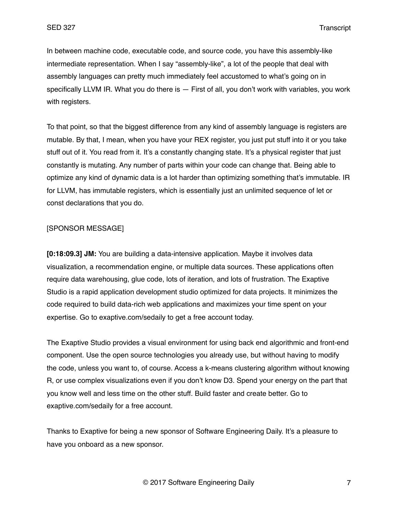In between machine code, executable code, and source code, you have this assembly-like intermediate representation. When I say "assembly-like", a lot of the people that deal with assembly languages can pretty much immediately feel accustomed to what's going on in specifically LLVM IR. What you do there is — First of all, you don't work with variables, you work with registers.

To that point, so that the biggest difference from any kind of assembly language is registers are mutable. By that, I mean, when you have your REX register, you just put stuff into it or you take stuff out of it. You read from it. It's a constantly changing state. It's a physical register that just constantly is mutating. Any number of parts within your code can change that. Being able to optimize any kind of dynamic data is a lot harder than optimizing something that's immutable. IR for LLVM, has immutable registers, which is essentially just an unlimited sequence of let or const declarations that you do.

### [SPONSOR MESSAGE]

**[0:18:09.3] JM:** You are building a data-intensive application. Maybe it involves data visualization, a recommendation engine, or multiple data sources. These applications often require data warehousing, glue code, lots of iteration, and lots of frustration. The Exaptive Studio is a rapid application development studio optimized for data projects. It minimizes the code required to build data-rich web applications and maximizes your time spent on your expertise. Go to exaptive.com/sedaily to get a free account today.

The Exaptive Studio provides a visual environment for using back end algorithmic and front-end component. Use the open source technologies you already use, but without having to modify the code, unless you want to, of course. Access a k-means clustering algorithm without knowing R, or use complex visualizations even if you don't know D3. Spend your energy on the part that you know well and less time on the other stuff. Build faster and create better. Go to exaptive.com/sedaily for a free account.

Thanks to Exaptive for being a new sponsor of Software Engineering Daily. It's a pleasure to have you onboard as a new sponsor.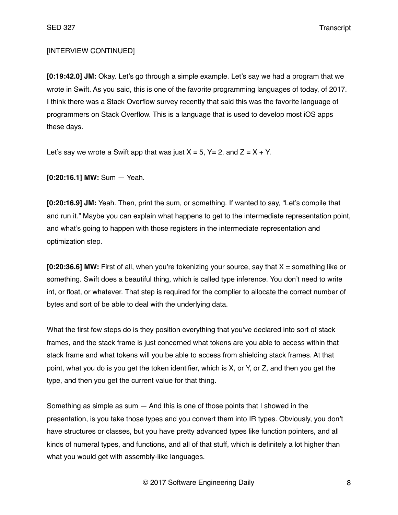SED 327 Transcript

# [INTERVIEW CONTINUED]

**[0:19:42.0] JM:** Okay. Let's go through a simple example. Let's say we had a program that we wrote in Swift. As you said, this is one of the favorite programming languages of today, of 2017. I think there was a Stack Overflow survey recently that said this was the favorite language of programmers on Stack Overflow. This is a language that is used to develop most iOS apps these days.

Let's say we wrote a Swift app that was just  $X = 5$ ,  $Y = 2$ , and  $Z = X + Y$ .

**[0:20:16.1] MW:** Sum — Yeah.

**[0:20:16.9] JM:** Yeah. Then, print the sum, or something. If wanted to say, "Let's compile that and run it." Maybe you can explain what happens to get to the intermediate representation point, and what's going to happen with those registers in the intermediate representation and optimization step.

**[0:20:36.6] MW:** First of all, when you're tokenizing your source, say that X = something like or something. Swift does a beautiful thing, which is called type inference. You don't need to write int, or float, or whatever. That step is required for the complier to allocate the correct number of bytes and sort of be able to deal with the underlying data.

What the first few steps do is they position everything that you've declared into sort of stack frames, and the stack frame is just concerned what tokens are you able to access within that stack frame and what tokens will you be able to access from shielding stack frames. At that point, what you do is you get the token identifier, which is X, or Y, or Z, and then you get the type, and then you get the current value for that thing.

Something as simple as sum — And this is one of those points that I showed in the presentation, is you take those types and you convert them into IR types. Obviously, you don't have structures or classes, but you have pretty advanced types like function pointers, and all kinds of numeral types, and functions, and all of that stuff, which is definitely a lot higher than what you would get with assembly-like languages.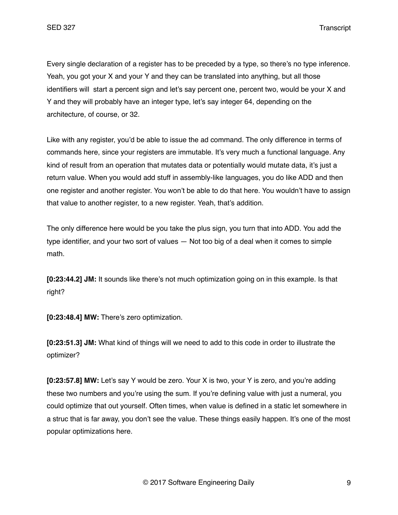SED 327 Transcript

Every single declaration of a register has to be preceded by a type, so there's no type inference. Yeah, you got your X and your Y and they can be translated into anything, but all those identifiers will start a percent sign and let's say percent one, percent two, would be your X and Y and they will probably have an integer type, let's say integer 64, depending on the architecture, of course, or 32.

Like with any register, you'd be able to issue the ad command. The only difference in terms of commands here, since your registers are immutable. It's very much a functional language. Any kind of result from an operation that mutates data or potentially would mutate data, it's just a return value. When you would add stuff in assembly-like languages, you do like ADD and then one register and another register. You won't be able to do that here. You wouldn't have to assign that value to another register, to a new register. Yeah, that's addition.

The only difference here would be you take the plus sign, you turn that into ADD. You add the type identifier, and your two sort of values — Not too big of a deal when it comes to simple math.

**[0:23:44.2] JM:** It sounds like there's not much optimization going on in this example. Is that right?

**[0:23:48.4] MW:** There's zero optimization.

**[0:23:51.3] JM:** What kind of things will we need to add to this code in order to illustrate the optimizer?

**[0:23:57.8] MW:** Let's say Y would be zero. Your X is two, your Y is zero, and you're adding these two numbers and you're using the sum. If you're defining value with just a numeral, you could optimize that out yourself. Often times, when value is defined in a static let somewhere in a struc that is far away, you don't see the value. These things easily happen. It's one of the most popular optimizations here.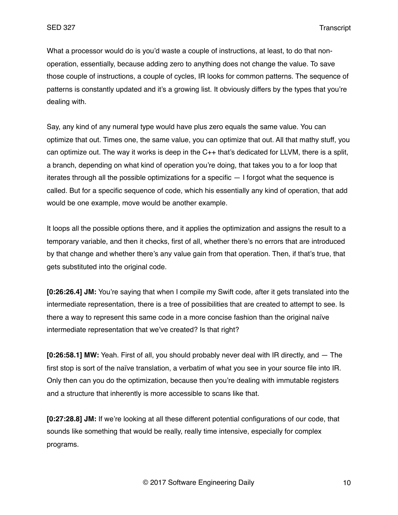What a processor would do is you'd waste a couple of instructions, at least, to do that nonoperation, essentially, because adding zero to anything does not change the value. To save those couple of instructions, a couple of cycles, IR looks for common patterns. The sequence of patterns is constantly updated and it's a growing list. It obviously differs by the types that you're dealing with.

Say, any kind of any numeral type would have plus zero equals the same value. You can optimize that out. Times one, the same value, you can optimize that out. All that mathy stuff, you can optimize out. The way it works is deep in the C++ that's dedicated for LLVM, there is a split, a branch, depending on what kind of operation you're doing, that takes you to a for loop that iterates through all the possible optimizations for a specific — I forgot what the sequence is called. But for a specific sequence of code, which his essentially any kind of operation, that add would be one example, move would be another example.

It loops all the possible options there, and it applies the optimization and assigns the result to a temporary variable, and then it checks, first of all, whether there's no errors that are introduced by that change and whether there's any value gain from that operation. Then, if that's true, that gets substituted into the original code.

**[0:26:26.4] JM:** You're saying that when I compile my Swift code, after it gets translated into the intermediate representation, there is a tree of possibilities that are created to attempt to see. Is there a way to represent this same code in a more concise fashion than the original naïve intermediate representation that we've created? Is that right?

**[0:26:58.1] MW:** Yeah. First of all, you should probably never deal with IR directly, and — The first stop is sort of the naïve translation, a verbatim of what you see in your source file into IR. Only then can you do the optimization, because then you're dealing with immutable registers and a structure that inherently is more accessible to scans like that.

**[0:27:28.8] JM:** If we're looking at all these different potential configurations of our code, that sounds like something that would be really, really time intensive, especially for complex programs.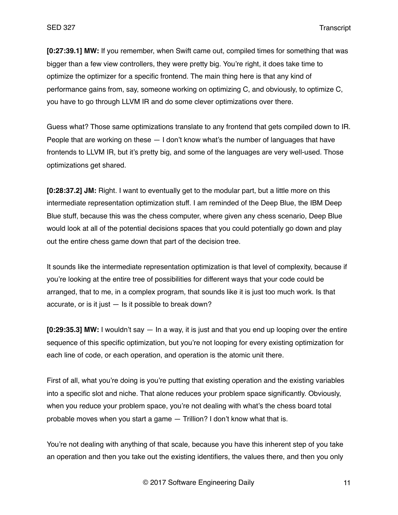**[0:27:39.1] MW:** If you remember, when Swift came out, compiled times for something that was bigger than a few view controllers, they were pretty big. You're right, it does take time to optimize the optimizer for a specific frontend. The main thing here is that any kind of performance gains from, say, someone working on optimizing C, and obviously, to optimize C, you have to go through LLVM IR and do some clever optimizations over there.

Guess what? Those same optimizations translate to any frontend that gets compiled down to IR. People that are working on these — I don't know what's the number of languages that have frontends to LLVM IR, but it's pretty big, and some of the languages are very well-used. Those optimizations get shared.

**[0:28:37.2] JM:** Right. I want to eventually get to the modular part, but a little more on this intermediate representation optimization stuff. I am reminded of the Deep Blue, the IBM Deep Blue stuff, because this was the chess computer, where given any chess scenario, Deep Blue would look at all of the potential decisions spaces that you could potentially go down and play out the entire chess game down that part of the decision tree.

It sounds like the intermediate representation optimization is that level of complexity, because if you're looking at the entire tree of possibilities for different ways that your code could be arranged, that to me, in a complex program, that sounds like it is just too much work. Is that accurate, or is it just  $-$  Is it possible to break down?

**[0:29:35.3] MW:** I wouldn't say — In a way, it is just and that you end up looping over the entire sequence of this specific optimization, but you're not looping for every existing optimization for each line of code, or each operation, and operation is the atomic unit there.

First of all, what you're doing is you're putting that existing operation and the existing variables into a specific slot and niche. That alone reduces your problem space significantly. Obviously, when you reduce your problem space, you're not dealing with what's the chess board total probable moves when you start a game — Trillion? I don't know what that is.

You're not dealing with anything of that scale, because you have this inherent step of you take an operation and then you take out the existing identifiers, the values there, and then you only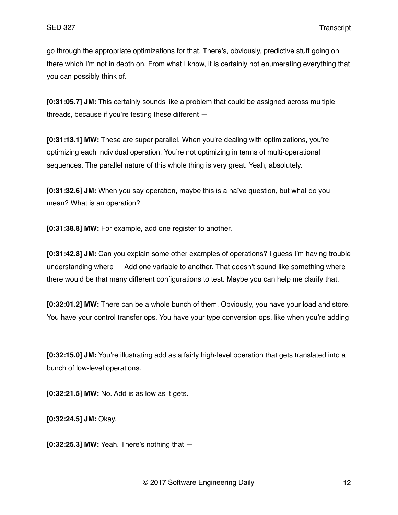go through the appropriate optimizations for that. There's, obviously, predictive stuff going on there which I'm not in depth on. From what I know, it is certainly not enumerating everything that you can possibly think of.

**[0:31:05.7] JM:** This certainly sounds like a problem that could be assigned across multiple threads, because if you're testing these different —

**[0:31:13.1] MW:** These are super parallel. When you're dealing with optimizations, you're optimizing each individual operation. You're not optimizing in terms of multi-operational sequences. The parallel nature of this whole thing is very great. Yeah, absolutely.

**[0:31:32.6] JM:** When you say operation, maybe this is a naïve question, but what do you mean? What is an operation?

**[0:31:38.8] MW:** For example, add one register to another.

**[0:31:42.8] JM:** Can you explain some other examples of operations? I guess I'm having trouble understanding where — Add one variable to another. That doesn't sound like something where there would be that many different configurations to test. Maybe you can help me clarify that.

**[0:32:01.2] MW:** There can be a whole bunch of them. Obviously, you have your load and store. You have your control transfer ops. You have your type conversion ops, like when you're adding —

**[0:32:15.0] JM:** You're illustrating add as a fairly high-level operation that gets translated into a bunch of low-level operations.

**[0:32:21.5] MW:** No. Add is as low as it gets.

**[0:32:24.5] JM:** Okay.

**[0:32:25.3] MW:** Yeah. There's nothing that —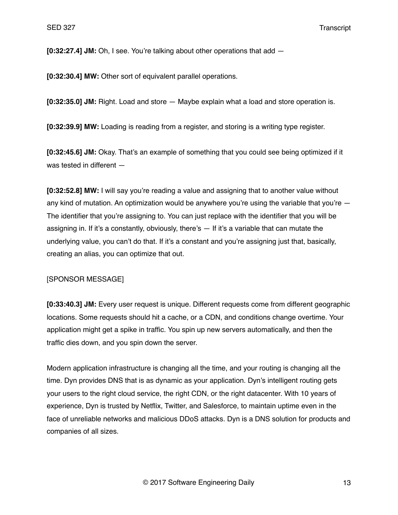**[0:32:27.4] JM:** Oh, I see. You're talking about other operations that add —

**[0:32:30.4] MW:** Other sort of equivalent parallel operations.

**[0:32:35.0] JM:** Right. Load and store — Maybe explain what a load and store operation is.

**[0:32:39.9] MW:** Loading is reading from a register, and storing is a writing type register.

**[0:32:45.6] JM:** Okay. That's an example of something that you could see being optimized if it was tested in different —

**[0:32:52.8] MW:** I will say you're reading a value and assigning that to another value without any kind of mutation. An optimization would be anywhere you're using the variable that you're  $-$ The identifier that you're assigning to. You can just replace with the identifier that you will be assigning in. If it's a constantly, obviously, there's — If it's a variable that can mutate the underlying value, you can't do that. If it's a constant and you're assigning just that, basically, creating an alias, you can optimize that out.

### [SPONSOR MESSAGE]

**[0:33:40.3] JM:** Every user request is unique. Different requests come from different geographic locations. Some requests should hit a cache, or a CDN, and conditions change overtime. Your application might get a spike in traffic. You spin up new servers automatically, and then the traffic dies down, and you spin down the server.

Modern application infrastructure is changing all the time, and your routing is changing all the time. Dyn provides DNS that is as dynamic as your application. Dyn's intelligent routing gets your users to the right cloud service, the right CDN, or the right datacenter. With 10 years of experience, Dyn is trusted by Netflix, Twitter, and Salesforce, to maintain uptime even in the face of unreliable networks and malicious DDoS attacks. Dyn is a DNS solution for products and companies of all sizes.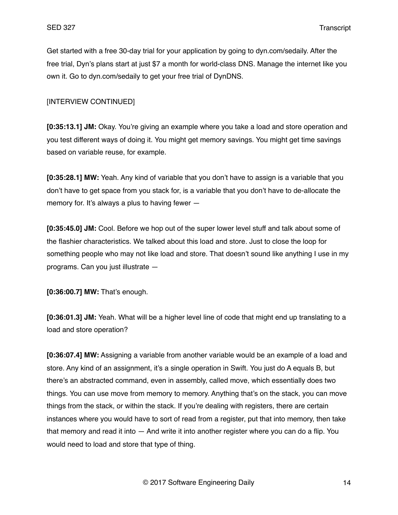Get started with a free 30-day trial for your application by going to dyn.com/sedaily. After the free trial, Dyn's plans start at just \$7 a month for world-class DNS. Manage the internet like you own it. Go to dyn.com/sedaily to get your free trial of DynDNS.

### [INTERVIEW CONTINUED]

**[0:35:13.1] JM:** Okay. You're giving an example where you take a load and store operation and you test different ways of doing it. You might get memory savings. You might get time savings based on variable reuse, for example.

**[0:35:28.1] MW:** Yeah. Any kind of variable that you don't have to assign is a variable that you don't have to get space from you stack for, is a variable that you don't have to de-allocate the memory for. It's always a plus to having fewer —

**[0:35:45.0] JM:** Cool. Before we hop out of the super lower level stuff and talk about some of the flashier characteristics. We talked about this load and store. Just to close the loop for something people who may not like load and store. That doesn't sound like anything I use in my programs. Can you just illustrate —

**[0:36:00.7] MW:** That's enough.

**[0:36:01.3] JM:** Yeah. What will be a higher level line of code that might end up translating to a load and store operation?

**[0:36:07.4] MW:** Assigning a variable from another variable would be an example of a load and store. Any kind of an assignment, it's a single operation in Swift. You just do A equals B, but there's an abstracted command, even in assembly, called move, which essentially does two things. You can use move from memory to memory. Anything that's on the stack, you can move things from the stack, or within the stack. If you're dealing with registers, there are certain instances where you would have to sort of read from a register, put that into memory, then take that memory and read it into — And write it into another register where you can do a flip. You would need to load and store that type of thing.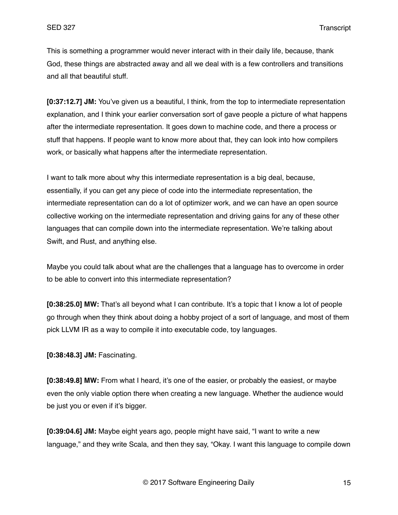This is something a programmer would never interact with in their daily life, because, thank God, these things are abstracted away and all we deal with is a few controllers and transitions and all that beautiful stuff.

**[0:37:12.7] JM:** You've given us a beautiful, I think, from the top to intermediate representation explanation, and I think your earlier conversation sort of gave people a picture of what happens after the intermediate representation. It goes down to machine code, and there a process or stuff that happens. If people want to know more about that, they can look into how compilers work, or basically what happens after the intermediate representation.

I want to talk more about why this intermediate representation is a big deal, because, essentially, if you can get any piece of code into the intermediate representation, the intermediate representation can do a lot of optimizer work, and we can have an open source collective working on the intermediate representation and driving gains for any of these other languages that can compile down into the intermediate representation. We're talking about Swift, and Rust, and anything else.

Maybe you could talk about what are the challenges that a language has to overcome in order to be able to convert into this intermediate representation?

**[0:38:25.0] MW:** That's all beyond what I can contribute. It's a topic that I know a lot of people go through when they think about doing a hobby project of a sort of language, and most of them pick LLVM IR as a way to compile it into executable code, toy languages.

**[0:38:48.3] JM:** Fascinating.

**[0:38:49.8] MW:** From what I heard, it's one of the easier, or probably the easiest, or maybe even the only viable option there when creating a new language. Whether the audience would be just you or even if it's bigger.

**[0:39:04.6] JM:** Maybe eight years ago, people might have said, "I want to write a new language," and they write Scala, and then they say, "Okay. I want this language to compile down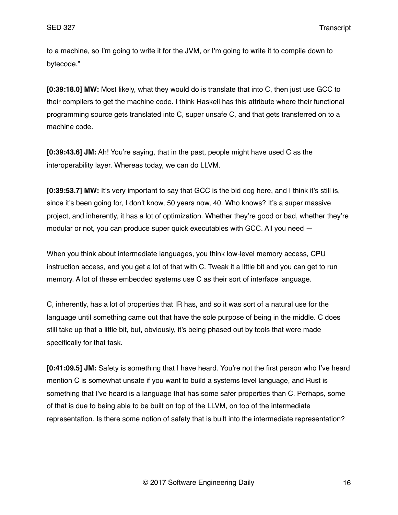SED 327 Transcript

to a machine, so I'm going to write it for the JVM, or I'm going to write it to compile down to bytecode."

**[0:39:18.0] MW:** Most likely, what they would do is translate that into C, then just use GCC to their compilers to get the machine code. I think Haskell has this attribute where their functional programming source gets translated into C, super unsafe C, and that gets transferred on to a machine code.

**[0:39:43.6] JM:** Ah! You're saying, that in the past, people might have used C as the interoperability layer. Whereas today, we can do LLVM.

**[0:39:53.7] MW:** It's very important to say that GCC is the bid dog here, and I think it's still is, since it's been going for, I don't know, 50 years now, 40. Who knows? It's a super massive project, and inherently, it has a lot of optimization. Whether they're good or bad, whether they're modular or not, you can produce super quick executables with GCC. All you need —

When you think about intermediate languages, you think low-level memory access, CPU instruction access, and you get a lot of that with C. Tweak it a little bit and you can get to run memory. A lot of these embedded systems use C as their sort of interface language.

C, inherently, has a lot of properties that IR has, and so it was sort of a natural use for the language until something came out that have the sole purpose of being in the middle. C does still take up that a little bit, but, obviously, it's being phased out by tools that were made specifically for that task.

**[0:41:09.5] JM:** Safety is something that I have heard. You're not the first person who I've heard mention C is somewhat unsafe if you want to build a systems level language, and Rust is something that I've heard is a language that has some safer properties than C. Perhaps, some of that is due to being able to be built on top of the LLVM, on top of the intermediate representation. Is there some notion of safety that is built into the intermediate representation?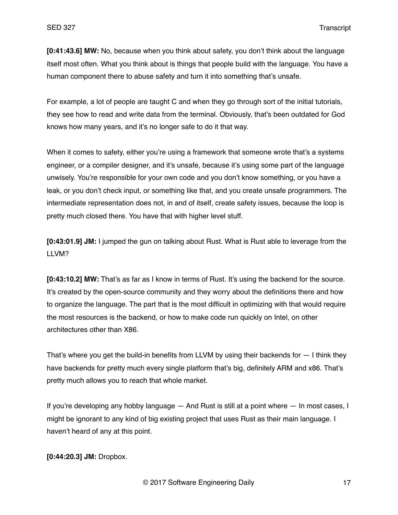**[0:41:43.6] MW:** No, because when you think about safety, you don't think about the language itself most often. What you think about is things that people build with the language. You have a human component there to abuse safety and turn it into something that's unsafe.

For example, a lot of people are taught C and when they go through sort of the initial tutorials, they see how to read and write data from the terminal. Obviously, that's been outdated for God knows how many years, and it's no longer safe to do it that way.

When it comes to safety, either you're using a framework that someone wrote that's a systems engineer, or a compiler designer, and it's unsafe, because it's using some part of the language unwisely. You're responsible for your own code and you don't know something, or you have a leak, or you don't check input, or something like that, and you create unsafe programmers. The intermediate representation does not, in and of itself, create safety issues, because the loop is pretty much closed there. You have that with higher level stuff.

**[0:43:01.9] JM:** I jumped the gun on talking about Rust. What is Rust able to leverage from the LLVM?

**[0:43:10.2] MW:** That's as far as I know in terms of Rust. It's using the backend for the source. It's created by the open-source community and they worry about the definitions there and how to organize the language. The part that is the most difficult in optimizing with that would require the most resources is the backend, or how to make code run quickly on Intel, on other architectures other than X86.

That's where you get the build-in benefits from LLVM by using their backends for  $-1$  think they have backends for pretty much every single platform that's big, definitely ARM and x86. That's pretty much allows you to reach that whole market.

If you're developing any hobby language — And Rust is still at a point where — In most cases, I might be ignorant to any kind of big existing project that uses Rust as their main language. I haven't heard of any at this point.

**[0:44:20.3] JM:** Dropbox.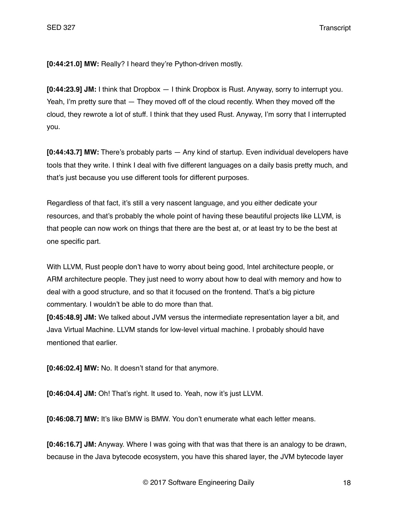**[0:44:21.0] MW:** Really? I heard they're Python-driven mostly.

**[0:44:23.9] JM:** I think that Dropbox — I think Dropbox is Rust. Anyway, sorry to interrupt you. Yeah, I'm pretty sure that — They moved off of the cloud recently. When they moved off the cloud, they rewrote a lot of stuff. I think that they used Rust. Anyway, I'm sorry that I interrupted you.

**[0:44:43.7] MW:** There's probably parts — Any kind of startup. Even individual developers have tools that they write. I think I deal with five different languages on a daily basis pretty much, and that's just because you use different tools for different purposes.

Regardless of that fact, it's still a very nascent language, and you either dedicate your resources, and that's probably the whole point of having these beautiful projects like LLVM, is that people can now work on things that there are the best at, or at least try to be the best at one specific part.

With LLVM, Rust people don't have to worry about being good, Intel architecture people, or ARM architecture people. They just need to worry about how to deal with memory and how to deal with a good structure, and so that it focused on the frontend. That's a big picture commentary. I wouldn't be able to do more than that.

**[0:45:48.9] JM:** We talked about JVM versus the intermediate representation layer a bit, and Java Virtual Machine. LLVM stands for low-level virtual machine. I probably should have mentioned that earlier.

**[0:46:02.4] MW:** No. It doesn't stand for that anymore.

**[0:46:04.4] JM:** Oh! That's right. It used to. Yeah, now it's just LLVM.

**[0:46:08.7] MW:** It's like BMW is BMW. You don't enumerate what each letter means.

**[0:46:16.7] JM:** Anyway. Where I was going with that was that there is an analogy to be drawn, because in the Java bytecode ecosystem, you have this shared layer, the JVM bytecode layer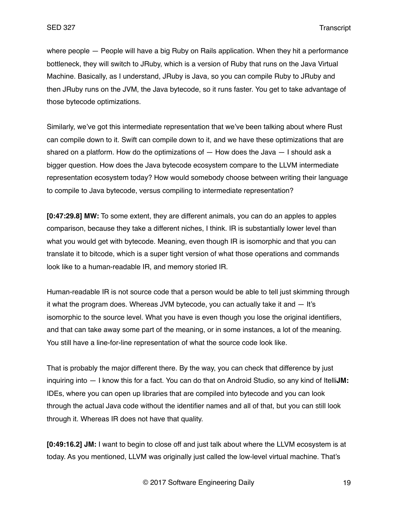where people — People will have a big Ruby on Rails application. When they hit a performance bottleneck, they will switch to JRuby, which is a version of Ruby that runs on the Java Virtual Machine. Basically, as I understand, JRuby is Java, so you can compile Ruby to JRuby and then JRuby runs on the JVM, the Java bytecode, so it runs faster. You get to take advantage of those bytecode optimizations.

Similarly, we've got this intermediate representation that we've been talking about where Rust can compile down to it. Swift can compile down to it, and we have these optimizations that are shared on a platform. How do the optimizations of  $-$  How does the Java  $-$  I should ask a bigger question. How does the Java bytecode ecosystem compare to the LLVM intermediate representation ecosystem today? How would somebody choose between writing their language to compile to Java bytecode, versus compiling to intermediate representation?

**[0:47:29.8] MW:** To some extent, they are different animals, you can do an apples to apples comparison, because they take a different niches, I think. IR is substantially lower level than what you would get with bytecode. Meaning, even though IR is isomorphic and that you can translate it to bitcode, which is a super tight version of what those operations and commands look like to a human-readable IR, and memory storied IR.

Human-readable IR is not source code that a person would be able to tell just skimming through it what the program does. Whereas JVM bytecode, you can actually take it and  $-$  It's isomorphic to the source level. What you have is even though you lose the original identifiers, and that can take away some part of the meaning, or in some instances, a lot of the meaning. You still have a line-for-line representation of what the source code look like.

That is probably the major different there. By the way, you can check that difference by just inquiring into — I know this for a fact. You can do that on Android Studio, so any kind of Itelli**JM:** IDEs, where you can open up libraries that are compiled into bytecode and you can look through the actual Java code without the identifier names and all of that, but you can still look through it. Whereas IR does not have that quality.

**[0:49:16.2] JM:** I want to begin to close off and just talk about where the LLVM ecosystem is at today. As you mentioned, LLVM was originally just called the low-level virtual machine. That's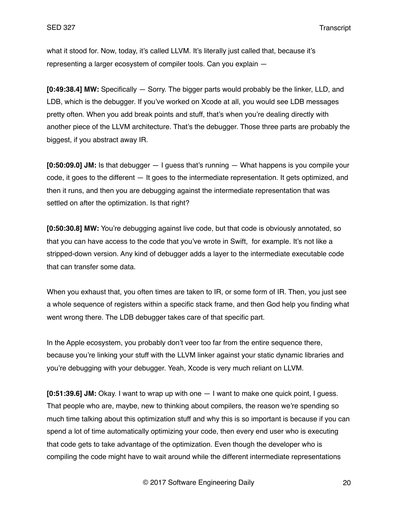what it stood for. Now, today, it's called LLVM. It's literally just called that, because it's representing a larger ecosystem of compiler tools. Can you explain —

**[0:49:38.4] MW:** Specifically — Sorry. The bigger parts would probably be the linker, LLD, and LDB, which is the debugger. If you've worked on Xcode at all, you would see LDB messages pretty often. When you add break points and stuff, that's when you're dealing directly with another piece of the LLVM architecture. That's the debugger. Those three parts are probably the biggest, if you abstract away IR.

**[0:50:09.0] JM:** Is that debugger — I guess that's running — What happens is you compile your code, it goes to the different — It goes to the intermediate representation. It gets optimized, and then it runs, and then you are debugging against the intermediate representation that was settled on after the optimization. Is that right?

**[0:50:30.8] MW:** You're debugging against live code, but that code is obviously annotated, so that you can have access to the code that you've wrote in Swift, for example. It's not like a stripped-down version. Any kind of debugger adds a layer to the intermediate executable code that can transfer some data.

When you exhaust that, you often times are taken to IR, or some form of IR. Then, you just see a whole sequence of registers within a specific stack frame, and then God help you finding what went wrong there. The LDB debugger takes care of that specific part.

In the Apple ecosystem, you probably don't veer too far from the entire sequence there, because you're linking your stuff with the LLVM linker against your static dynamic libraries and you're debugging with your debugger. Yeah, Xcode is very much reliant on LLVM.

**[0:51:39.6] JM:** Okay. I want to wrap up with one — I want to make one quick point, I guess. That people who are, maybe, new to thinking about compilers, the reason we're spending so much time talking about this optimization stuff and why this is so important is because if you can spend a lot of time automatically optimizing your code, then every end user who is executing that code gets to take advantage of the optimization. Even though the developer who is compiling the code might have to wait around while the different intermediate representations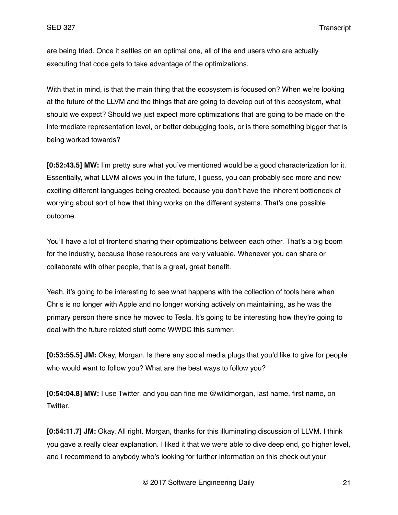are being tried. Once it settles on an optimal one, all of the end users who are actually executing that code gets to take advantage of the optimizations.

With that in mind, is that the main thing that the ecosystem is focused on? When we're looking at the future of the LLVM and the things that are going to develop out of this ecosystem, what should we expect? Should we just expect more optimizations that are going to be made on the intermediate representation level, or better debugging tools, or is there something bigger that is being worked towards?

**[0:52:43.5] MW:** I'm pretty sure what you've mentioned would be a good characterization for it. Essentially, what LLVM allows you in the future, I guess, you can probably see more and new exciting different languages being created, because you don't have the inherent bottleneck of worrying about sort of how that thing works on the different systems. That's one possible outcome.

You'll have a lot of frontend sharing their optimizations between each other. That's a big boom for the industry, because those resources are very valuable. Whenever you can share or collaborate with other people, that is a great, great benefit.

Yeah, it's going to be interesting to see what happens with the collection of tools here when Chris is no longer with Apple and no longer working actively on maintaining, as he was the primary person there since he moved to Tesla. It's going to be interesting how they're going to deal with the future related stuff come WWDC this summer.

**[0:53:55.5] JM:** Okay, Morgan. Is there any social media plugs that you'd like to give for people who would want to follow you? What are the best ways to follow you?

**[0:54:04.8] MW:** I use Twitter, and you can fine me @wildmorgan, last name, first name, on Twitter.

**[0:54:11.7] JM:** Okay. All right. Morgan, thanks for this illuminating discussion of LLVM. I think you gave a really clear explanation. I liked it that we were able to dive deep end, go higher level, and I recommend to anybody who's looking for further information on this check out your